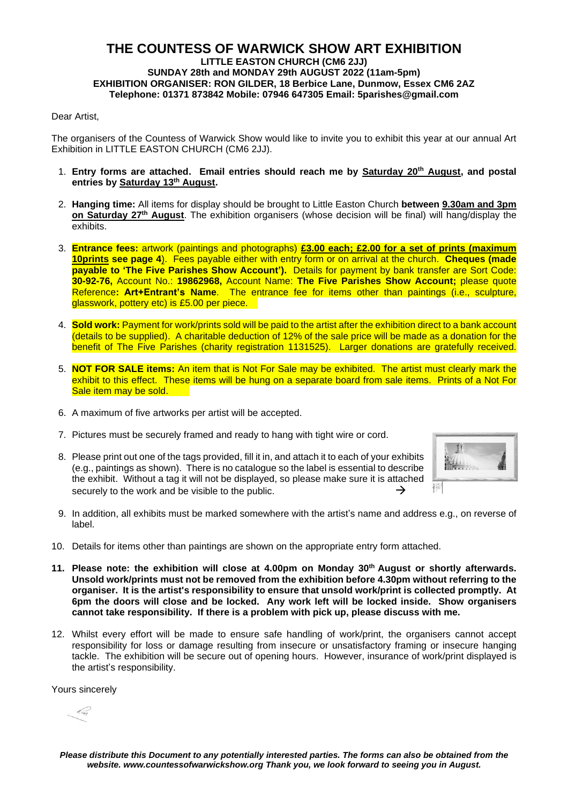#### **THE COUNTESS OF WARWICK SHOW ART EXHIBITION LITTLE EASTON CHURCH (CM6 2JJ) SUNDAY 28th and MONDAY 29th AUGUST 2022 (11am-5pm) EXHIBITION ORGANISER: RON GILDER, 18 Berbice Lane, Dunmow, Essex CM6 2AZ Telephone: 01371 873842 Mobile: 07946 647305 Email: 5parishes@gmail.com**

#### Dear Artist

The organisers of the Countess of Warwick Show would like to invite you to exhibit this year at our annual Art Exhibition in LITTLE EASTON CHURCH (CM6 2JJ).

- 1. **Entry forms are attached. Email entries should reach me by Saturday 20th August, and postal entries by Saturday 13th August.**
- 2. **Hanging time:** All items for display should be brought to Little Easton Church **between 9.30am and 3pm on Saturday 27th August**. The exhibition organisers (whose decision will be final) will hang/display the exhibits.
- 3. **Entrance fees:** artwork (paintings and photographs) **£3.00 each; £2.00 for a set of prints (maximum 10prints see page 4**). Fees payable either with entry form or on arrival at the church. **Cheques (made payable to 'The Five Parishes Show Account').** Details for payment by bank transfer are Sort Code: **30-92-76,** Account No.: **19862968,** Account Name: **The Five Parishes Show Account;** please quote Reference**: Art+Entrant's Name**. The entrance fee for items other than paintings (i.e., sculpture, glasswork, pottery etc) is £5.00 per piece.
- 4. **Sold work:** Payment for work/prints sold will be paid to the artist after the exhibition direct to a bank account (details to be supplied). A charitable deduction of 12% of the sale price will be made as a donation for the benefit of The Five Parishes (charity registration 1131525). Larger donations are gratefully received.
- 5. **NOT FOR SALE items:** An item that is Not For Sale may be exhibited. The artist must clearly mark the exhibit to this effect. These items will be hung on a separate board from sale items. Prints of a Not For Sale item may be sold.
- 6. A maximum of five artworks per artist will be accepted.
- 7. Pictures must be securely framed and ready to hang with tight wire or cord.
- 8. Please print out one of the tags provided, fill it in, and attach it to each of your exhibits (e.g., paintings as shown). There is no catalogue so the label is essential to describe the exhibit. Without a tag it will not be displayed, so please make sure it is attached securely to the work and be visible to the public.  $\rightarrow$



- 9. In addition, all exhibits must be marked somewhere with the artist's name and address e.g., on reverse of label.
- 10. Details for items other than paintings are shown on the appropriate entry form attached.
- **11. Please note: the exhibition will close at 4.00pm on Monday 30th August or shortly afterwards. Unsold work/prints must not be removed from the exhibition before 4.30pm without referring to the organiser. It is the artist's responsibility to ensure that unsold work/print is collected promptly. At 6pm the doors will close and be locked. Any work left will be locked inside. Show organisers cannot take responsibility. If there is a problem with pick up, please discuss with me.**
- 12. Whilst every effort will be made to ensure safe handling of work/print, the organisers cannot accept responsibility for loss or damage resulting from insecure or unsatisfactory framing or insecure hanging tackle. The exhibition will be secure out of opening hours. However, insurance of work/print displayed is the artist's responsibility.

Yours sincerely

 $\leftarrow$ 

Please distribute this Document to any potentially interested parties. The forms can also be obtained from the *website. www.countessofwarwickshow.org Thank you, we look forward to seeing you in August.*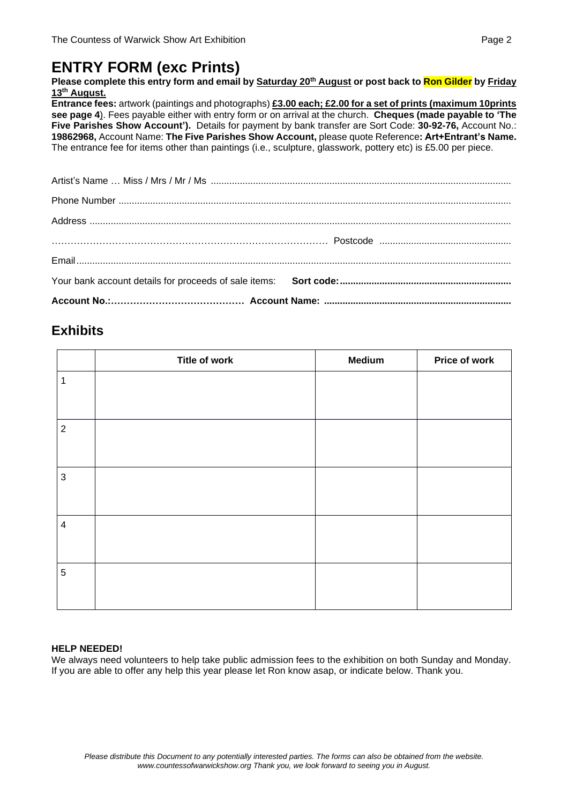## **ENTRY FORM (exc Prints)**

Please complete this entry form and email by Saturday 20<sup>th</sup> August or post back to Ron Gilder by Friday **13 th August.** 

**Entrance fees:** artwork (paintings and photographs) **£3.00 each; £2.00 for a set of prints (maximum 10prints see page 4**). Fees payable either with entry form or on arrival at the church. **Cheques (made payable to 'The Five Parishes Show Account').** Details for payment by bank transfer are Sort Code: **30-92-76,** Account No.: **19862968,** Account Name: **The Five Parishes Show Account,** please quote Reference**: Art+Entrant's Name.** The entrance fee for items other than paintings (i.e., sculpture, glasswork, pottery etc) is £5.00 per piece.

### **Exhibits**

|                         | Title of work | <b>Medium</b> | Price of work |
|-------------------------|---------------|---------------|---------------|
| $\mathbf 1$             |               |               |               |
|                         |               |               |               |
| $\sqrt{2}$              |               |               |               |
|                         |               |               |               |
| $\mathfrak{S}$          |               |               |               |
|                         |               |               |               |
| $\overline{\mathbf{4}}$ |               |               |               |
|                         |               |               |               |
| $\sqrt{5}$              |               |               |               |
|                         |               |               |               |

#### **HELP NEEDED!**

We always need volunteers to help take public admission fees to the exhibition on both Sunday and Monday. If you are able to offer any help this year please let Ron know asap, or indicate below. Thank you.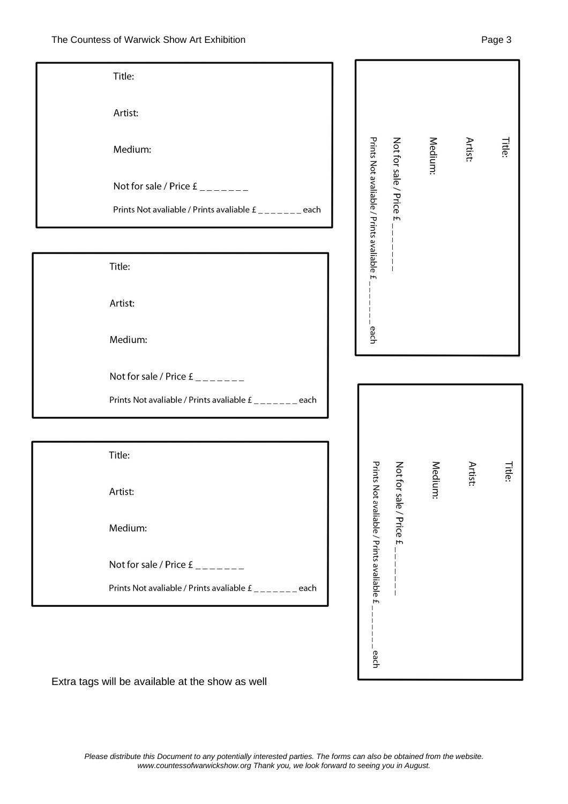| Title:                                                    |                                                                   |              |                               |               |
|-----------------------------------------------------------|-------------------------------------------------------------------|--------------|-------------------------------|---------------|
| Artist:                                                   |                                                                   |              |                               |               |
| Medium:                                                   |                                                                   | Medium:      | Artist:                       | <b>Title:</b> |
| Not for sale / Price $E_{\text{max}} =$                   | Prints Not avaliable / Prints avaliable £<br>Not for sale / Price |              |                               |               |
| Prints Not avaliable / Prints avaliable £ _______ each    | $\overline{f}$                                                    |              |                               |               |
|                                                           |                                                                   |              |                               |               |
| Title:                                                    |                                                                   |              |                               |               |
| Artist:                                                   |                                                                   |              |                               |               |
| Medium:                                                   | each                                                              |              |                               |               |
| Not for sale / Price $E_{\text{max}} =$                   |                                                                   |              |                               |               |
| Prints Not avaliable / Prints avaliable £ _______ each    |                                                                   |              |                               |               |
|                                                           |                                                                   |              |                               |               |
| Title:                                                    |                                                                   |              |                               |               |
| Artist:                                                   | Prints<br>Not for sale / Price £                                  | Medi<br>ium: | Artis <sup>.</sup><br>$\cdot$ | <b>Title:</b> |
| Medium:                                                   | Not avaliable / Prints avaliable £                                |              |                               |               |
| Not for sale / Price $E_{\text{un}-\text{un}-\text{un}-}$ |                                                                   |              |                               |               |
| Prints Not avaliable / Prints avaliable £ _______ each    |                                                                   |              |                               |               |
|                                                           |                                                                   |              |                               |               |
|                                                           | each                                                              |              |                               |               |
|                                                           |                                                                   |              |                               |               |

Extra tags will be available at the show as well